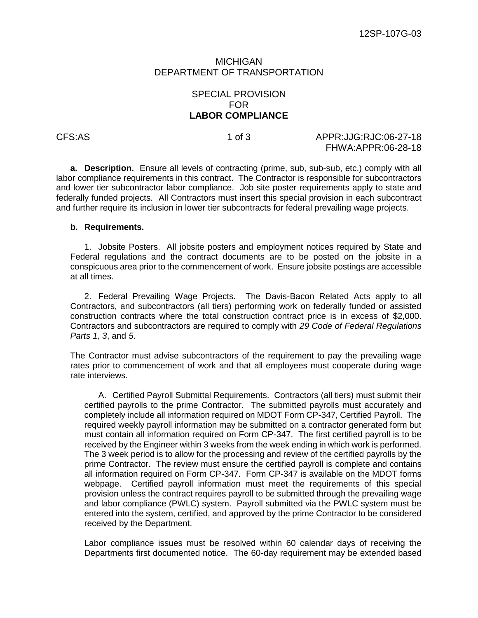### MICHIGAN DEPARTMENT OF TRANSPORTATION

# SPECIAL PROVISION FOR **LABOR COMPLIANCE**

# CFS:AS 1 of 3 APPR:JJG:RJC:06-27-18 FHWA:APPR:06-28-18

**a. Description.** Ensure all levels of contracting (prime, sub, sub-sub, etc.) comply with all labor compliance requirements in this contract. The Contractor is responsible for subcontractors and lower tier subcontractor labor compliance. Job site poster requirements apply to state and federally funded projects. All Contractors must insert this special provision in each subcontract and further require its inclusion in lower tier subcontracts for federal prevailing wage projects.

### **b. Requirements.**

1. Jobsite Posters. All jobsite posters and employment notices required by State and Federal regulations and the contract documents are to be posted on the jobsite in a conspicuous area prior to the commencement of work. Ensure jobsite postings are accessible at all times.

2. Federal Prevailing Wage Projects. The Davis-Bacon Related Acts apply to all Contractors, and subcontractors (all tiers) performing work on federally funded or assisted construction contracts where the total construction contract price is in excess of \$2,000. Contractors and subcontractors are required to comply with *29 Code of Federal Regulations Parts 1, 3*, and *5*.

The Contractor must advise subcontractors of the requirement to pay the prevailing wage rates prior to commencement of work and that all employees must cooperate during wage rate interviews.

A. Certified Payroll Submittal Requirements. Contractors (all tiers) must submit their certified payrolls to the prime Contractor. The submitted payrolls must accurately and completely include all information required on MDOT Form CP-347, Certified Payroll. The required weekly payroll information may be submitted on a contractor generated form but must contain all information required on Form CP-347. The first certified payroll is to be received by the Engineer within 3 weeks from the week ending in which work is performed. The 3 week period is to allow for the processing and review of the certified payrolls by the prime Contractor. The review must ensure the certified payroll is complete and contains all information required on Form CP-347. Form CP-347 is available on the MDOT forms webpage. Certified payroll information must meet the requirements of this special provision unless the contract requires payroll to be submitted through the prevailing wage and labor compliance (PWLC) system. Payroll submitted via the PWLC system must be entered into the system, certified, and approved by the prime Contractor to be considered received by the Department.

Labor compliance issues must be resolved within 60 calendar days of receiving the Departments first documented notice. The 60-day requirement may be extended based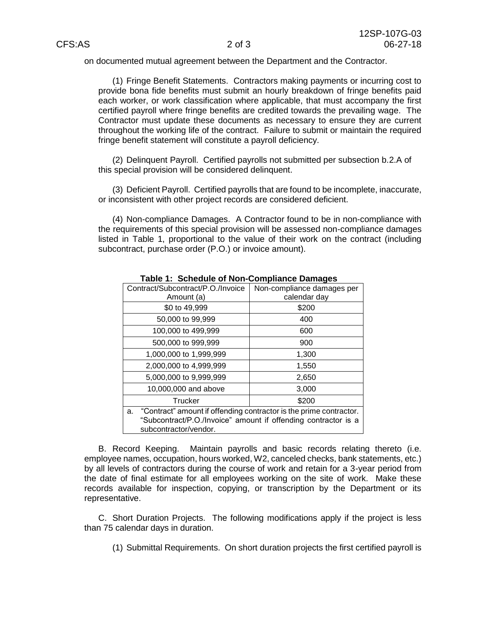on documented mutual agreement between the Department and the Contractor.

(1) Fringe Benefit Statements. Contractors making payments or incurring cost to provide bona fide benefits must submit an hourly breakdown of fringe benefits paid each worker, or work classification where applicable, that must accompany the first certified payroll where fringe benefits are credited towards the prevailing wage. The Contractor must update these documents as necessary to ensure they are current throughout the working life of the contract. Failure to submit or maintain the required fringe benefit statement will constitute a payroll deficiency.

(2) Delinquent Payroll. Certified payrolls not submitted per subsection b.2.A of this special provision will be considered delinquent.

(3) Deficient Payroll. Certified payrolls that are found to be incomplete, inaccurate, or inconsistent with other project records are considered deficient.

(4) Non-compliance Damages. A Contractor found to be in non-compliance with the requirements of this special provision will be assessed non-compliance damages listed in Table 1, proportional to the value of their work on the contract (including subcontract, purchase order (P.O.) or invoice amount).

| Contract/Subcontract/P.O./Invoice                                        | Non-compliance damages per |
|--------------------------------------------------------------------------|----------------------------|
| Amount (a)                                                               | calendar day               |
| \$0 to 49,999                                                            | \$200                      |
| 50,000 to 99,999                                                         | 400                        |
| 100,000 to 499,999                                                       | 600                        |
| 500,000 to 999,999                                                       | 900                        |
| 1,000,000 to 1,999,999                                                   | 1,300                      |
| 2,000,000 to 4,999,999                                                   | 1,550                      |
| 5,000,000 to 9,999,999                                                   | 2,650                      |
| 10,000,000 and above                                                     | 3,000                      |
| Trucker                                                                  | \$200                      |
| "Contract" amount if offending contractor is the prime contractor.<br>a. |                            |
| "Subcontract/P.O./Invoice" amount if offending contractor is a           |                            |
| subcontractor/vendor.                                                    |                            |

**Table 1: Schedule of Non-Compliance Damages**

B. Record Keeping. Maintain payrolls and basic records relating thereto (i.e. employee names, occupation, hours worked, W2, canceled checks, bank statements, etc.) by all levels of contractors during the course of work and retain for a 3-year period from the date of final estimate for all employees working on the site of work. Make these records available for inspection, copying, or transcription by the Department or its representative.

C. Short Duration Projects. The following modifications apply if the project is less than 75 calendar days in duration.

(1) Submittal Requirements. On short duration projects the first certified payroll is